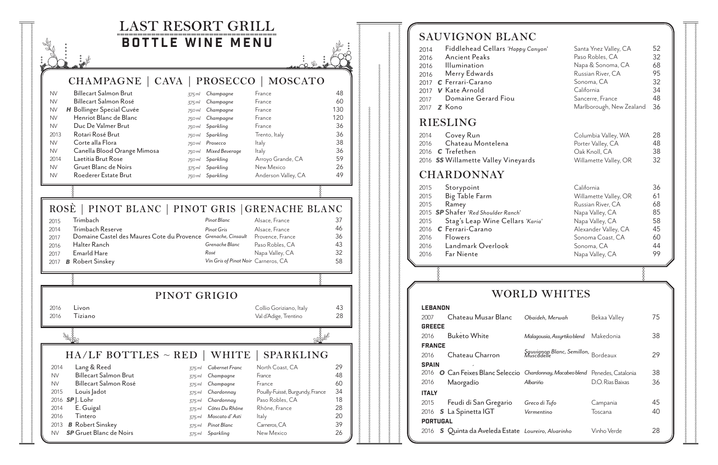

| <b>SAUVIGNON BLANC</b>                                                                                                                                                                                                                                                  |                                     |                                                                                                                                                                             |                                                    |
|-------------------------------------------------------------------------------------------------------------------------------------------------------------------------------------------------------------------------------------------------------------------------|-------------------------------------|-----------------------------------------------------------------------------------------------------------------------------------------------------------------------------|----------------------------------------------------|
| Fiddlehead Cellars 'Happy Canyon'<br>2014<br><b>Ancient Peaks</b><br>2016<br>Illumination<br>2016<br>Merry Edwards<br>2016<br>C Ferrari-Carano<br>2017<br>2017 <b>V</b> Kate Arnold<br>Domaine Gerard Fiou<br>2017<br>Z Kono<br>2017                                    |                                     | Santa Ynez Valley, CA<br>Paso Robles, CA<br>Napa & Sonoma, CA<br>Russian River, CA<br>Sonoma, CA<br>California<br>Sancerre, France<br>Marlborough, New Zealand              | 52<br>32<br>68<br>95<br>32<br>34<br>48<br>36       |
| RIESLING                                                                                                                                                                                                                                                                |                                     |                                                                                                                                                                             |                                                    |
| Covey Run<br>2014<br>Chateau Montelena<br>2016<br>2016 <b>C</b> Trefethen<br>2016 SS Willamette Valley Vineyards                                                                                                                                                        |                                     | Columbia Valley, WA<br>Porter Valley, CA<br>Oak Knoll, CA<br>Willamette Valley, OR                                                                                          | 28<br>48<br>38<br>32                               |
| <b>CHARDONNAY</b>                                                                                                                                                                                                                                                       |                                     |                                                                                                                                                                             |                                                    |
| 2015<br>Storypoint<br>Big Table Farm<br>2015<br>2015<br>Ramey<br>2015 <b>SP</b> Shafer 'Red Shoulder Ranch'<br>2015<br>Stag's Leap Wine Cellars 'Karia'<br>C Ferrari-Carano<br>2016<br>2016<br><b>Flowers</b><br>Landmark Overlook<br>2016<br><b>Far Niente</b><br>2016 |                                     | California<br>Willamette Valley, OR<br>Russian River, CA<br>Napa Valley, CA<br>Napa Valley, CA<br>Alexander Valley, CA<br>Sonoma Coast, CA<br>Sonoma, CA<br>Napa Valley, CA | 36<br>61<br>68<br>85<br>58<br>45<br>60<br>44<br>99 |
|                                                                                                                                                                                                                                                                         |                                     |                                                                                                                                                                             |                                                    |
|                                                                                                                                                                                                                                                                         | WORLD WHITES                        |                                                                                                                                                                             |                                                    |
| <b>LEBANON</b>                                                                                                                                                                                                                                                          |                                     |                                                                                                                                                                             |                                                    |
| Chateau Musar Blanc<br>2007<br><b>GREECE</b>                                                                                                                                                                                                                            | Obaideh, Merwah                     | Bekaa Valley                                                                                                                                                                | 75                                                 |
| <b>Buketo White</b><br>2016                                                                                                                                                                                                                                             | Malagousia, Assyrtiko blend         | Makedonia                                                                                                                                                                   | 38                                                 |
| <b>FRANCE</b><br>Chateau Charron<br>2016<br><b>SPAIN</b>                                                                                                                                                                                                                | Sauvignon Blanc, Semillon, Bordeaux |                                                                                                                                                                             | 29                                                 |
| 2016<br>O Can Feixes Blanc Seleccio Chardonnay, Macabeo blend Penedes, Catalonia<br>2016<br>Maorgadío                                                                                                                                                                   | Albariño                            | D.O. Rías Baixas                                                                                                                                                            | 38<br>36                                           |
| <b>ITALY</b><br>Feudi di San Gregario<br>2015<br>S La Spinetta IGT<br>2016<br><b>PORTUGAL</b>                                                                                                                                                                           | Greco di Tufo<br>Vermentino         | Campania<br>Toscana                                                                                                                                                         | 45<br>40                                           |
| S Quinta da Aveleda Estate Loureiro, Alvarinho<br>2016                                                                                                                                                                                                                  |                                     | Vinho Verde                                                                                                                                                                 | 28                                                 |